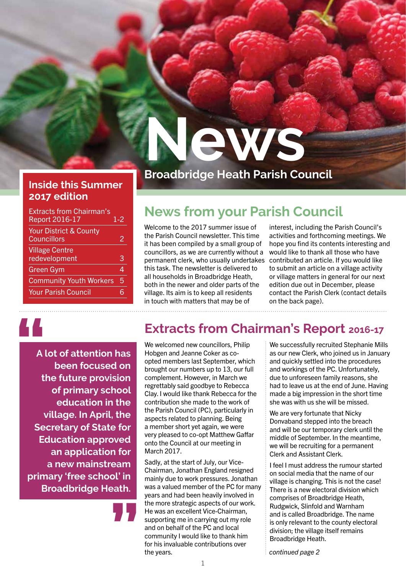#### **Inside this Summer 2017 edition**

| <b>Extracts from Chairman's</b><br><b>Report 2016-17</b> | 1-2 |
|----------------------------------------------------------|-----|
| <b>Your District &amp; County</b><br><b>Councillors</b>  | 2   |
| <b>Village Centre</b><br>redevelopment                   | 3   |
| <b>Green Gym</b>                                         | 4   |
| <b>Community Youth Workers</b>                           | 5   |
| <b>Your Parish Council</b>                               |     |
|                                                          |     |

## **Broadbridge Heath Parish Council**

**News**

## **News from your Parish Council**

Welcome to the 2017 summer issue of the Parish Council newsletter. This time it has been compiled by a small group of councillors, as we are currently without a permanent clerk, who usually undertakes this task. The newsletter is delivered to all households in Broadbridge Heath, both in the newer and older parts of the village. Its aim is to keep all residents in touch with matters that may be of

interest, including the Parish Council's activities and forthcoming meetings. We hope you find its contents interesting and would like to thank all those who have contributed an article. If you would like to submit an article on a village activity or village matters in general for our next edition due out in December, please contact the Parish Clerk (contact details on the back page).

## **"**

**A lot of attention has been focused on the future provision of primary school education in the village. In April, the Secretary of State for Education approved an application for a new mainstream primary 'free school' in Broadbridge Heath.**

**"**

## **Extracts from Chairman's Report 2016-17**

We welcomed new councillors, Philip Hobgen and Jeanne Coker as coopted members last September, which brought our numbers up to 13, our full complement. However, in March we regrettably said goodbye to Rebecca Clay. I would like thank Rebecca for the contribution she made to the work of the Parish Council (PC), particularly in aspects related to planning. Being a member short yet again, we were very pleased to co-opt Matthew Gaffar onto the Council at our meeting in March 2017.

Sadly, at the start of July, our Vice-Chairman, Jonathan England resigned mainly due to work pressures. Jonathan was a valued member of the PC for many years and had been heavily involved in the more strategic aspects of our work. He was an excellent Vice-Chairman, supporting me in carrying out my role and on behalf of the PC and local community I would like to thank him for his invaluable contributions over the years.

We successfully recruited Stephanie Mills as our new Clerk, who joined us in January and quickly settled into the procedures and workings of the PC. Unfortunately, due to unforeseen family reasons, she had to leave us at the end of June. Having made a big impression in the short time she was with us she will be missed.

We are very fortunate that Nicky Donvaband stepped into the breach and will be our temporary clerk until the middle of September. In the meantime, we will be recruiting for a permanent Clerk and Assistant Clerk.

I feel I must address the rumour started on social media that the name of our village is changing. This is not the case! There is a new electoral division which comprises of Broadbridge Heath, Rudgwick, Slinfold and Warnham and is called Broadbridge. The name is only relevant to the county electoral division; the village itself remains Broadbridge Heath.

*continued page 2*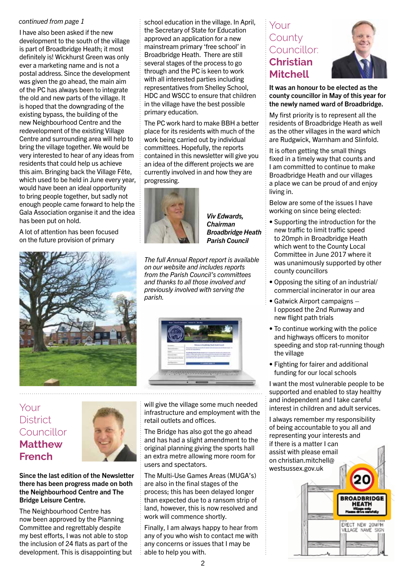#### *continued from page 1*

I have also been asked if the new development to the south of the village is part of Broadbridge Heath; it most definitely is! Wickhurst Green was only ever a marketing name and is not a postal address. Since the development was given the go ahead, the main aim of the PC has always been to integrate the old and new parts of the village. It is hoped that the downgrading of the existing bypass, the building of the new Neighbourhood Centre and the redevelopment of the existing Village Centre and surrounding area will help to bring the village together. We would be very interested to hear of any ideas from residents that could help us achieve this aim. Bringing back the Village Fête, which used to be held in June every year, would have been an ideal opportunity to bring people together, but sadly not enough people came forward to help the Gala Association organise it and the idea has been put on hold.

A lot of attention has been focused on the future provision of primary



school education in the village. In April, the Secretary of State for Education approved an application for a new mainstream primary 'free school' in Broadbridge Heath. There are still several stages of the process to go through and the PC is keen to work with all interested parties including representatives from Shelley School, HDC and WSCC to ensure that children in the village have the best possible primary education.

The PC work hard to make BBH a better place for its residents with much of the work being carried out by individual committees. Hopefully, the reports contained in this newsletter will give you an idea of the different projects we are currently involved in and how they are progressing.



*Viv Edwards, Chairman Broadbridge Heath Parish Council*

*The full Annual Report report is available on our website and includes reports from the Parish Council's committees and thanks to all those involved and previously involved with serving the parish.* 



Your **District** Councillor **Matthew French**



Since the last edition of the Newsletter there has been progress made on both the Neighbourhood Centre and The Bridge Leisure Centre.

The Neighbourhood Centre has now been approved by the Planning Committee and regrettably despite my best efforts, I was not able to stop the inclusion of 24 flats as part of the development. This is disappointing but will give the village some much needed infrastructure and employment with the retail outlets and offices.

The Bridge has also got the go ahead and has had a slight amendment to the original planning giving the sports hall an extra metre allowing more room for users and spectators.

The Multi-Use Games Areas (MUGA's) are also in the final stages of the process; this has been delayed longer than expected due to a ransom strip of land, however, this is now resolved and work will commence shortly.

Finally, I am always happy to hear from any of you who wish to contact me with any concerns or issues that I may be able to help you with.

#### Your **County** Councillor: **Christian Mitchell**



It was an honour to be elected as the county councillor in May of this year for the newly named ward of Broadbridge.

My first priority is to represent all the residents of Broadbridge Heath as well as the other villages in the ward which are Rudgwick, Warnham and Slinfold.

It is often getting the small things fixed in a timely way that counts and I am committed to continue to make Broadbridge Heath and our villages a place we can be proud of and enjoy living in.

Below are some of the issues I have working on since being elected:

- Supporting the introduction for the new traffic to limit traffic speed to 20mph in Broadbridge Heath which went to the County Local Committee in June 2017 where it was unanimously supported by other county councillors
- Opposing the siting of an industrial/ commercial incinerator in our area
- Gatwick Airport campaigns I opposed the 2nd Runway and new flight path trials
- To continue working with the police and highways officers to monitor speeding and stop rat-running though the village
- Fighting for fairer and additional funding for our local schools

I want the most vulnerable people to be supported and enabled to stay healthy and independent and I take careful interest in children and adult services.

I always remember my responsibility of being accountable to you all and representing your interests and if there is a matter I can assist with please email on christian.mitchell@ westsussex.gov.uk

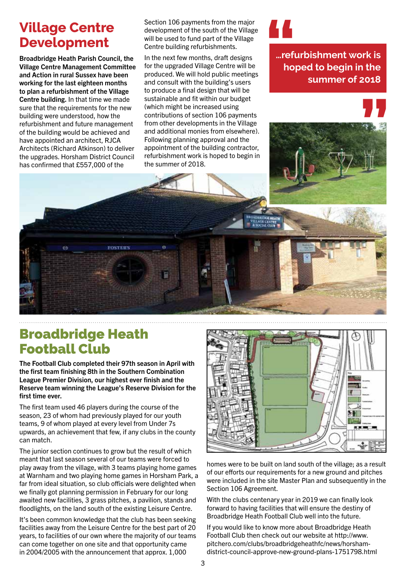## **Village Centre Development**

Broadbridge Heath Parish Council, the Village Centre Management Committee and Action in rural Sussex have been working for the last eighteen months to plan a refurbishment of the Village Centre building. In that time we made sure that the requirements for the new building were understood, how the refurbishment and future management of the building would be achieved and have appointed an architect, RJCA Architects (Richard Atkinson) to deliver the upgrades. Horsham District Council has confirmed that £557,000 of the

Section 106 payments from the major development of the south of the Village will be used to fund part of the Village Centre building refurbishments.

In the next few months, draft designs for the upgraded Village Centre will be produced. We will hold public meetings and consult with the building's users to produce a final design that will be sustainable and fit within our budget (which might be increased using contributions of section 106 payments from other developments in the Village and additional monies from elsewhere). Following planning approval and the appointment of the building contractor, refurbishment work is hoped to begin in the summer of 2018.

**…refurbishment work is hoped to begin in the summer of 2018 1**<br>|-<br>|-<br>| no

**"**

## Broadbridge Heath Football Club

The Football Club completed their 97th season in April with the first team finishing 8th in the Southern Combination League Premier Division, our highest ever finish and the Reserve team winning the League's Reserve Division for the first time ever.

**FOSTER'S** 

The first team used 46 players during the course of the season, 23 of whom had previously played for our youth teams, 9 of whom played at every level from Under 7s upwards, an achievement that few, if any clubs in the county can match.

The junior section continues to grow but the result of which meant that last season several of our teams were forced to play away from the village, with 3 teams playing home games at Warnham and two playing home games in Horsham Park, a far from ideal situation, so club officials were delighted when we finally got planning permission in February for our long awaited new facilities, 3 grass pitches, a pavilion, stands and floodlights, on the land south of the existing Leisure Centre.

It's been common knowledge that the club has been seeking facilities away from the Leisure Centre for the best part of 20 years, to facilities of our own where the majority of our teams can come together on one site and that opportunity came in 2004/2005 with the announcement that approx. 1,000



homes were to be built on land south of the village; as a result of our efforts our requirements for a new ground and pitches were included in the site Master Plan and subsequently in the Section 106 Agreement.

With the clubs centenary year in 2019 we can finally look forward to having facilities that will ensure the destiny of Broadbridge Heath Football Club well into the future.

If you would like to know more about Broadbridge Heath Football Club then check out our website at http://www. pitchero.com/clubs/broadbridgeheathfc/news/horshamdistrict-council-approve-new-ground-plans-1751798.html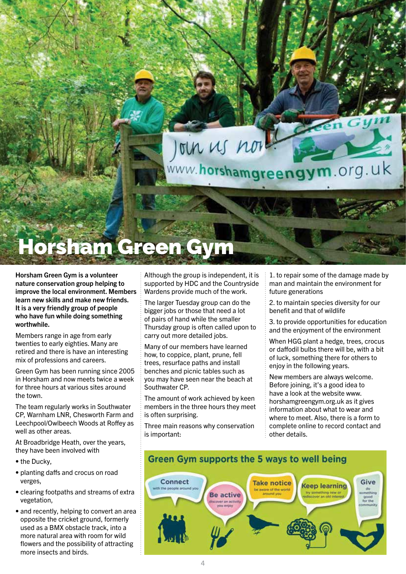un us nor

www.horshamgreengym.org.uk

# rsham Green Gym

Horsham Green Gym is a volunteer nature conservation group helping to improve the local environment. Members learn new skills and make new friends. It is a very friendly group of people who have fun while doing something worthwhile.

Members range in age from early twenties to early eighties. Many are retired and there is have an interesting mix of professions and careers.

Green Gym has been running since 2005 in Horsham and now meets twice a week for three hours at various sites around the town.

The team regularly works in Southwater CP, Warnham LNR, Chesworth Farm and Leechpool/Owlbeech Woods at Roffey as well as other areas.

At Broadbridge Heath, over the years, they have been involved with

- the Ducky,
- planting daffs and crocus on road verges,
- clearing footpaths and streams of extra vegetation,
- and recently, helping to convert an area opposite the cricket ground, formerly used as a BMX obstacle track, into a more natural area with room for wild flowers and the possibility of attracting more insects and birds.

Although the group is independent, it is supported by HDC and the Countryside Wardens provide much of the work.

The larger Tuesday group can do the bigger jobs or those that need a lot of pairs of hand while the smaller Thursday group is often called upon to carry out more detailed jobs.

Many of our members have learned how, to coppice, plant, prune, fell trees, resurface paths and install benches and picnic tables such as you may have seen near the beach at Southwater CP.

The amount of work achieved by keen members in the three hours they meet is often surprising.

Three main reasons why conservation is important:

1. to repair some of the damage made by man and maintain the environment for future generations

2. to maintain species diversity for our benefit and that of wildlife

3. to provide opportunities for education and the enjoyment of the environment

When HGG plant a hedge, trees, crocus or daffodil bulbs there will be, with a bit of luck, something there for others to enjoy in the following years.

New members are always welcome. Before joining, it's a good idea to have a look at the website www. horshamgreengym.org.uk as it gives information about what to wear and where to meet. Also, there is a form to complete online to record contact and other details.

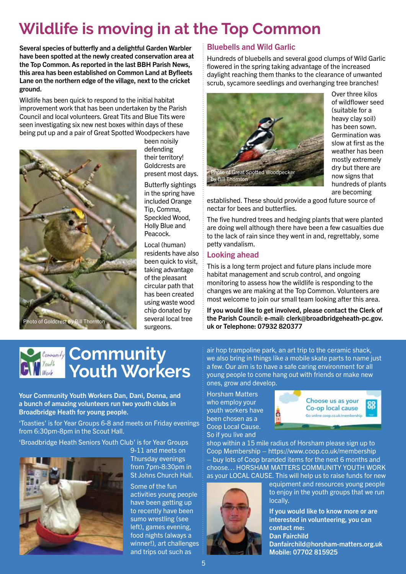## **Wildlife is moving in at the Top Common**

Several species of butterfly and a delightful Garden Warbler have been spotted at the newly created conservation area at the Top Common. As reported in the last BBH Parish News, this area has been established on Common Land at Byfleets Lane on the northern edge of the village, next to the cricket ground.

Wildlife has been quick to respond to the initial habitat improvement work that has been undertaken by the Parish Council and local volunteers. Great Tits and Blue Tits were seen investigating six new nest boxes within days of these being put up and a pair of Great Spotted Woodpeckers have



been noisily defending their territory! Goldcrests are present most days.

Butterfly sightings in the spring have included Orange Tip, Comma, Speckled Wood, Holly Blue and Peacock.

Local (human) residents have also been quick to visit, taking advantage of the pleasant circular path that has been created using waste wood chip donated by several local tree surgeons.

#### Bluebells and Wild Garlic

Hundreds of bluebells and several good clumps of Wild Garlic flowered in the spring taking advantage of the increased daylight reaching them thanks to the clearance of unwanted scrub, sycamore seedlings and overhanging tree branches!



Over three kilos of wildflower seed (suitable for a heavy clay soil) has been sown. Germination was slow at first as the weather has been mostly extremely dry but there are now signs that hundreds of plants are becoming

established. These should provide a good future source of nectar for bees and butterflies.

The five hundred trees and hedging plants that were planted are doing well although there have been a few casualties due to the lack of rain since they went in and, regrettably, some petty vandalism.

#### Looking ahead

This is a long term project and future plans include more habitat management and scrub control, and ongoing monitoring to assess how the wildlife is responding to the changes we are making at the Top Common. Volunteers are most welcome to join our small team looking after this area.

If you would like to get involved, please contact the Clerk of the Parish Council: e-mail: clerk@broadbridgeheath-pc.gov. uk or Telephone: 07932 820377

## **Community Youth Workers**

Your Community Youth Workers Dan, Dani, Donna, and a bunch of amazing volunteers run two youth clubs in Broadbridge Heath for young people.

'Toasties' is for Year Groups 6-8 and meets on Friday evenings from 6:30pm-8pm in the Scout Hall.

'Broadbridge Heath Seniors Youth Club' is for Year Groups



9-11 and meets on Thursday evenings from 7pm-8:30pm in St. Johns Church Hall

Some of the fun activities young people have been getting up to recently have been sumo wrestling (see left), games evening, food nights (always a winner!), art challenges and trips out such as

air hop trampoline park, an art trip to the ceramic shack, we also bring in things like a mobile skate parts to name just a few. Our aim is to have a safe caring environment for all young people to come hang out with friends or make new ones, grow and develop.

Horsham Matters who employ your youth workers have been chosen as a Coop Local Cause. So if you live and



shop within a 15 mile radius of Horsham please sign up to Coop Membership – https://www.coop.co.uk/membership – buy lots of Coop branded items for the next 6 months and choose… HORSHAM MATTERS COMMUNITY YOUTH WORK as your LOCAL CAUSE. This will help us to raise funds for new



equipment and resources young people to enjoy in the youth groups that we run locally.

If you would like to know more or are interested in volunteering, you can contact me: Dan Fairchild Danfairchild@horsham-matters.org.uk Mobile: 07702 815925